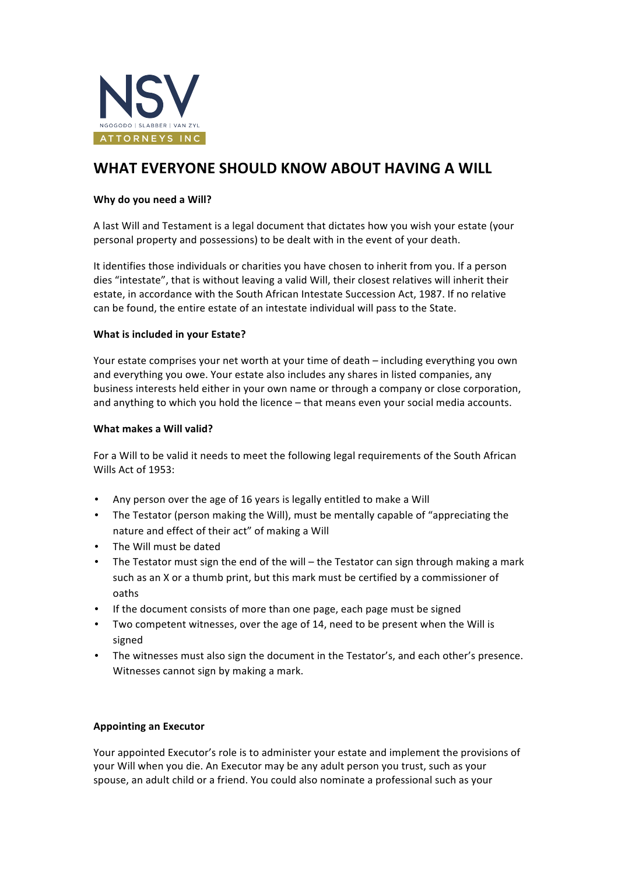

# WHAT EVERYONE SHOULD KNOW ABOUT HAVING A WILL

## Why do you need a Will?

A last Will and Testament is a legal document that dictates how you wish your estate (your personal property and possessions) to be dealt with in the event of your death.

It identifies those individuals or charities you have chosen to inherit from you. If a person dies "intestate", that is without leaving a valid Will, their closest relatives will inherit their estate, in accordance with the South African Intestate Succession Act, 1987. If no relative can be found, the entire estate of an intestate individual will pass to the State.

## **What is included in your Estate?**

Your estate comprises your net worth at your time of death – including everything you own and everything you owe. Your estate also includes any shares in listed companies, any business interests held either in your own name or through a company or close corporation, and anything to which you hold the licence - that means even your social media accounts.

## What makes a Will valid?

For a Will to be valid it needs to meet the following legal requirements of the South African Wills Act of 1953:

- Any person over the age of 16 years is legally entitled to make a Will
- The Testator (person making the Will), must be mentally capable of "appreciating the nature and effect of their act" of making a Will
- The Will must be dated
- The Testator must sign the end of the will the Testator can sign through making a mark such as an X or a thumb print, but this mark must be certified by a commissioner of oaths
- If the document consists of more than one page, each page must be signed
- Two competent witnesses, over the age of 14, need to be present when the Will is signed
- The witnesses must also sign the document in the Testator's, and each other's presence. Witnesses cannot sign by making a mark.

# **Appointing an Executor**

Your appointed Executor's role is to administer your estate and implement the provisions of your Will when you die. An Executor may be any adult person you trust, such as your spouse, an adult child or a friend. You could also nominate a professional such as your